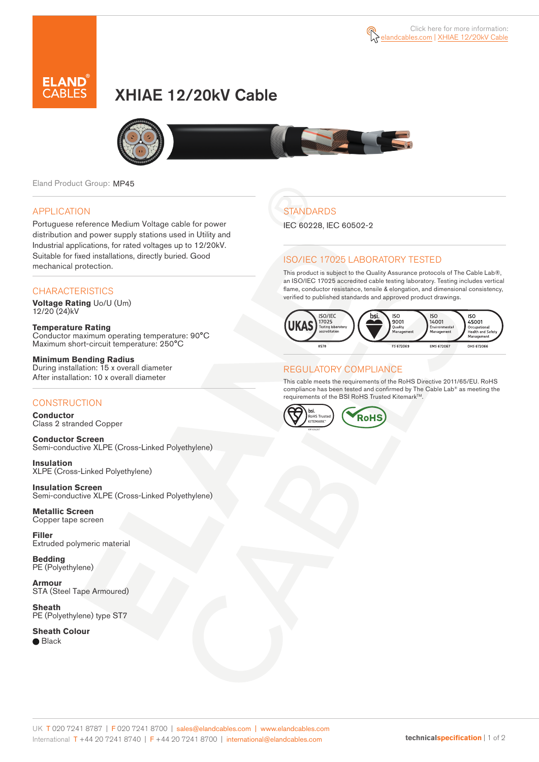

# XHIAE 12/20kV Cable



Eland Product Group: MP45

#### APPLICATION

Portuguese reference Medium Voltage cable for power distribution and power supply stations used in Utility and Industrial applications, for rated voltages up to 12/20kV. Suitable for fixed installations, directly buried. Good mechanical protection.

#### **CHARACTERISTICS**

**Voltage Rating** Uo/U (Um) 12/20 (24)kV

**Temperature Rating** Conductor maximum operating temperature: 90°C Maximum short-circuit temperature: 250°C

**Minimum Bending Radius** During installation: 15 x overall diameter After installation: 10 x overall diameter

#### **CONSTRUCTION**

**Conductor**  Class 2 stranded Copper

**Conductor Screen** Semi-conductive XLPE (Cross-Linked Polyethylene)

**Insulation** XLPE (Cross-Linked Polyethylene)

**Insulation Screen** Semi-conductive XLPE (Cross-Linked Polyethylene)

**Metallic Screen**  Copper tape screen

**Filler** Extruded polymeric material

**Bedding** PE (Polyethylene)

**Armour** STA (Steel Tape Armoured)

**Sheath** PE (Polyethylene) type ST7

**Sheath Colour** 

● Black

**STANDARDS** 

IEC 60228, IEC 60502-2

#### ISO/IEC 17025 LABORATORY TESTED

This product is subject to the Quality Assurance protocols of The Cable Lab®, an ISO/IEC 17025 accredited cable testing laboratory. Testing includes vertical flame, conductor resistance, tensile & elongation, and dimensional consistency, verified to published standards and approved product drawings.



#### REGULATORY COMPLIANCE

This cable meets the requirements of the RoHS Directive 2011/65/EU. RoHS compliance has been tested and confirmed by The Cable Lab® as meeting the requirements of the BSI RoHS Trusted Kitemark™.